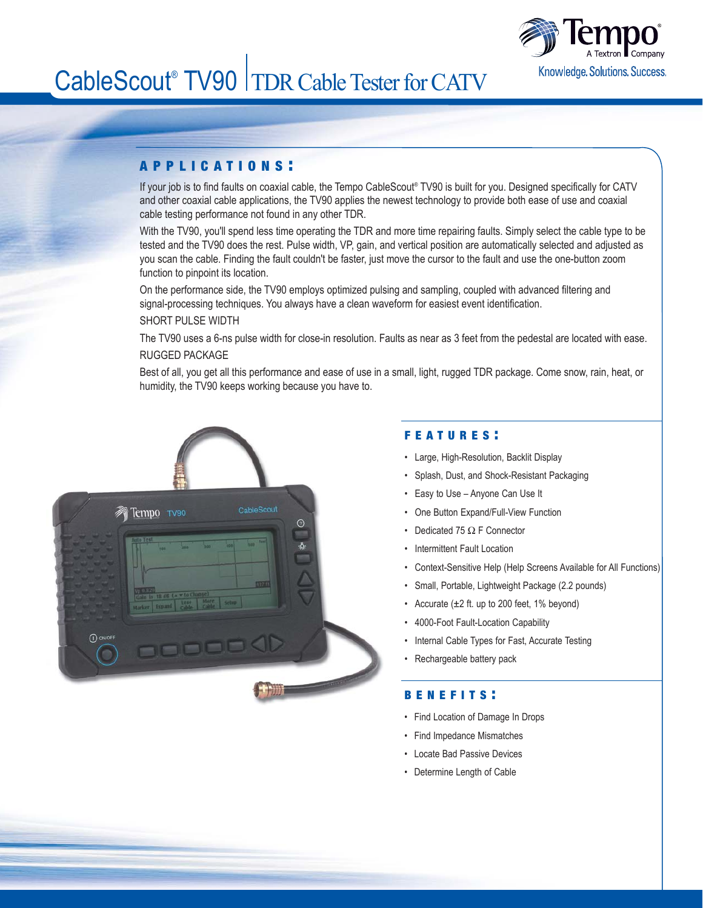

# CableScout<sup>®</sup> TV90 TDR Cable Tester for CATV

# APPLICATIONS :

If your job is to find faults on coaxial cable, the Tempo CableScout® TV90 is built for you. Designed specifically for CATV and other coaxial cable applications, the TV90 applies the newest technology to provide both ease of use and coaxial cable testing performance not found in any other TDR.

With the TV90, you'll spend less time operating the TDR and more time repairing faults. Simply select the cable type to be tested and the TV90 does the rest. Pulse width, VP, gain, and vertical position are automatically selected and adjusted as you scan the cable. Finding the fault couldn't be faster, just move the cursor to the fault and use the one-button zoom function to pinpoint its location.

On the performance side, the TV90 employs optimized pulsing and sampling, coupled with advanced filtering and signal-processing techniques. You always have a clean waveform for easiest event identification.

## SHORT PULSE WIDTH

The TV90 uses a 6-ns pulse width for close-in resolution. Faults as near as 3 feet from the pedestal are located with ease. RUGGED PACKAGE

Best of all, you get all this performance and ease of use in a small, light, rugged TDR package. Come snow, rain, heat, or humidity, the TV90 keeps working because you have to.



# FEATURES :

- Large, High-Resolution, Backlit Display
- Splash, Dust, and Shock-Resistant Packaging
- Easy to Use Anyone Can Use It
- One Button Expand/Full-View Function
- Dedicated 75 Ω F Connector
- Intermittent Fault Location
- Context-Sensitive Help (Help Screens Available for All Functions)
- Small, Portable, Lightweight Package (2.2 pounds)
- Accurate  $(\pm 2$  ft. up to 200 feet, 1% beyond)
- 4000-Foot Fault-Location Capability
- Internal Cable Types for Fast, Accurate Testing
- Rechargeable battery pack

### BENEFITS :

- Find Location of Damage In Drops
- Find Impedance Mismatches
- Locate Bad Passive Devices
- Determine Length of Cable